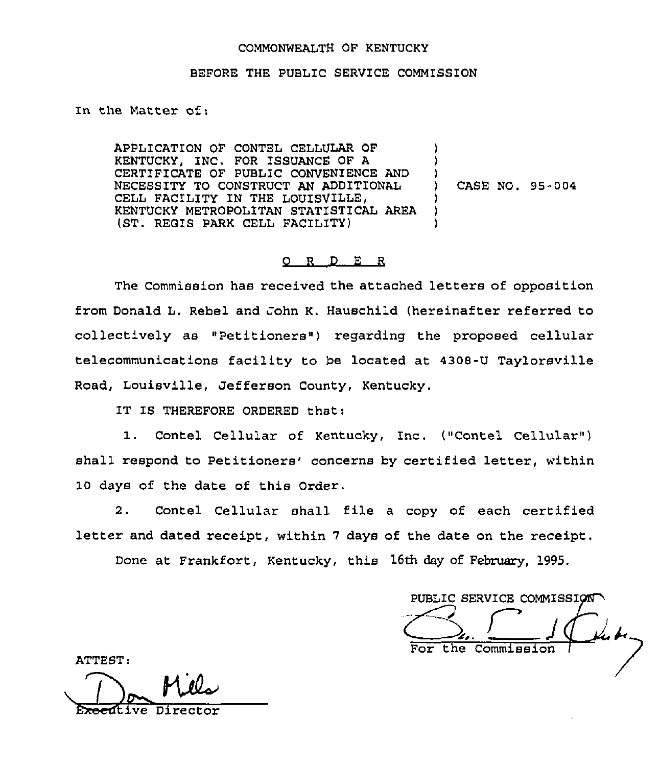## COMMONWEALTH OF KENTUCKY

## BEFORE THE PUBLIC SERVICE COMMISSION

In the Matter of:

APPLICATION OF CONTEL CELLULAR OF KENTUCKY, INC. FOR ISSUANCE OF A CERTIFICATE OF PUBLIC CONVENIENCE AND NECESSITY TO CONSTRUCT AN ADDITIONAL CELL FACILITY IN THE LOUISVILLE, KENTUCKY METROPOLITAN STATISTICAL AREA (ST. REGIS PARK CELL FACILITY) ) ) ) ) CASE NO. 95-004 ) ) )

## 0 R <sup>D</sup> E R

The Commission has received the attached letters of opposition from Donald L. Rebel and John K. Hauschild (hereinafter referred to collectively as "Petitioners") regarding the proposed cellular telecommunications facility to be located at 4308-U Taylorsville Road, Louisville, Jefferson County, Kentucky.

IT IS THEREFORE ORDERED that:

1. Contel Cellular of Kentucky, Inc. ("Contel Cellular") shall respond to Petitioners' concerns by certified letter, within 10 days of the date of this Order.

2. Contel Cellular shall file <sup>a</sup> copy of each certified letter and dated receipt, within <sup>7</sup> days of the date on the receipt.

Done at Frankfort, Kentucky, this 16th day of February, 1995.

PUBLIC SERVICE COMMISSION  $J$  metal For the Commission

ATTEST:

dtive Director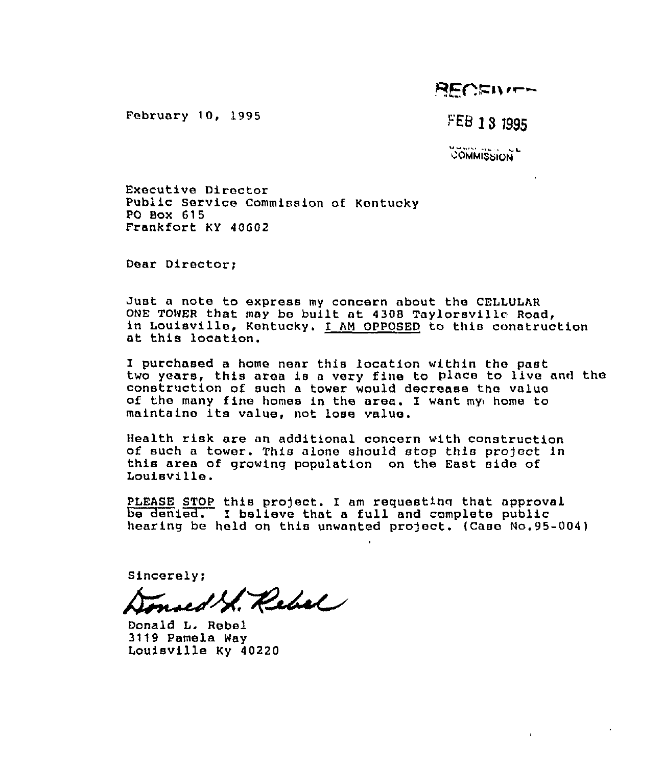アヒレビシャー

February 10, 1995

FEB 13 1995

COMMISSION

Executive Director Public Service Commission of Kentucky PO Box 615 Frankfort KY 40602

Dear Director;

Just a note to express my concern about the CELLULAR ONE TOWER that may be built at 4300 Taylorsvillo Road, in Louisville, Kentucky. I AN OPPOSED to this construction at this location.

I purchased a home near this location within the past two years, this area is a very fine to place to live and the construction of such a tower would decrease tho value of the many fine homes in the area. I want my home to maintaine its value, not lose value.

Health risk are an additional concern with construction of such <sup>a</sup> tower. This alone should stop this project in this area of growing population on the East side of Louisville.

PLEASE STOP this project. I am requesting that approval be denied. I believe that a full and complete public hearing be held on this unwanted project. (Case No.95-004)

Sincerely:

red . Rebel

Donald L. Rebel<br>3119 Pamela Wav Louisville Ky 40220